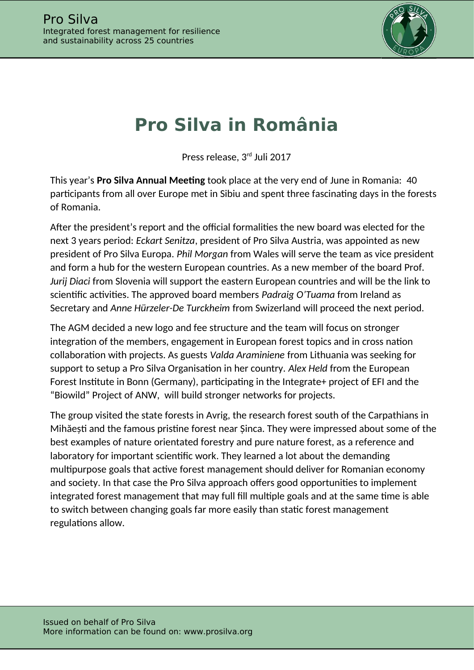

## **Pro Silva in România**

Press release, 3rd Juli 2017

This year's **Pro Silva Annual Meeting** took place at the very end of June in Romania: 40 participants from all over Europe met in Sibiu and spent three fascinating days in the forests of Romania.

After the president's report and the official formalities the new board was elected for the next 3 years period: *Eckart Senitza*, president of Pro Silva Austria, was appointed as new president of Pro Silva Europa. *Phil Morgan* from Wales will serve the team as vice president and form a hub for the western European countries. As a new member of the board Prof. *Jurij Diaci* from Slovenia will support the eastern European countries and will be the link to scientific activities. The approved board members *Padraig O'Tuama* from Ireland as Secretary and *Anne Hürzeler-De Turckheim* from Swizerland will proceed the next period.

The AGM decided a new logo and fee structure and the team will focus on stronger integration of the members, engagement in European forest topics and in cross nation collaboration with projects. As guests *Valda Araminiene* from Lithuania was seeking for support to setup a Pro Silva Organisation in her country. *Alex Held* from the European Forest Institute in Bonn (Germany), participating in the Integrate+ project of EFI and the "Biowild" Project of ANW, will build stronger networks for projects.

The group visited the state forests in Avrig, the research forest south of the Carpathians in Mihăești and the famous pristine forest near Șinca. They were impressed about some of the best examples of nature orientated forestry and pure nature forest, as a reference and laboratory for important scientific work. They learned a lot about the demanding multipurpose goals that active forest management should deliver for Romanian economy and society. In that case the Pro Silva approach offers good opportunities to implement integrated forest management that may full fill multiple goals and at the same time is able to switch between changing goals far more easily than static forest management regulations allow.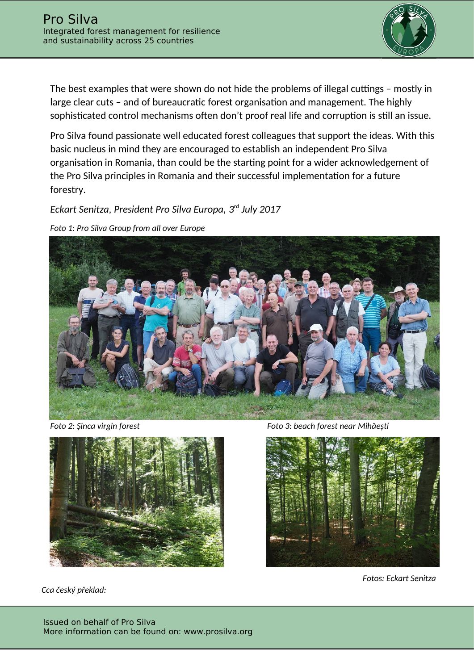

The best examples that were shown do not hide the problems of illegal cuttings - mostly in large clear cuts – and of bureaucratic forest organisation and management. The highly sophisticated control mechanisms often don't proof real life and corruption is still an issue.

Pro Silva found passionate well educated forest colleagues that support the ideas. With this basic nucleus in mind they are encouraged to establish an independent Pro Silva organisation in Romania, than could be the starting point for a wider acknowledgement of the Pro Silva principles in Romania and their successful implementation for a future forestry.

*Eckart Senitza, President Pro Silva Europa, 3 rd July 2017*

*Foto 1: Pro Silva Group from all over Europe*





*Cca český překlad:*

*Foto 2: Șinca virgin forest Foto 3: beach forest near Mihăeșt* 



*Fotos: Eckart Senitza*

Issued on behalf of Pro Silva More information can be found on: www.prosilva.org